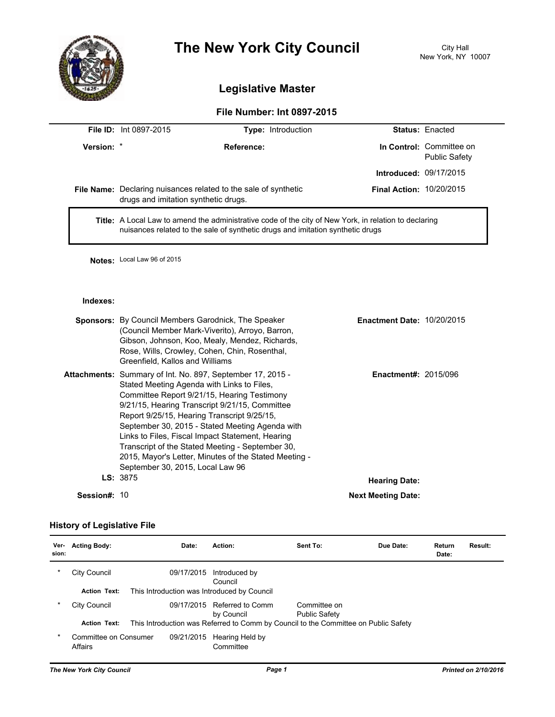

# **The New York City Council** City Hall

## **Legislative Master**

### **File Number: Int 0897-2015**

|            | <b>File ID: Int 0897-2015</b>                                                                                                                                                                                                                                                                                                                                                                                                                                                                                    | Type: Introduction                                                     |                                 | <b>Status: Enacted</b>                           |
|------------|------------------------------------------------------------------------------------------------------------------------------------------------------------------------------------------------------------------------------------------------------------------------------------------------------------------------------------------------------------------------------------------------------------------------------------------------------------------------------------------------------------------|------------------------------------------------------------------------|---------------------------------|--------------------------------------------------|
| Version: * |                                                                                                                                                                                                                                                                                                                                                                                                                                                                                                                  | Reference:                                                             |                                 | In Control: Committee on<br><b>Public Safety</b> |
|            |                                                                                                                                                                                                                                                                                                                                                                                                                                                                                                                  |                                                                        | Introduced: 09/17/2015          |                                                  |
|            | drugs and imitation synthetic drugs.                                                                                                                                                                                                                                                                                                                                                                                                                                                                             | <b>File Name:</b> Declaring nuisances related to the sale of synthetic | <b>Final Action: 10/20/2015</b> |                                                  |
|            | Title: A Local Law to amend the administrative code of the city of New York, in relation to declaring<br>nuisances related to the sale of synthetic drugs and imitation synthetic drugs                                                                                                                                                                                                                                                                                                                          |                                                                        |                                 |                                                  |
|            | Notes: Local Law 96 of 2015                                                                                                                                                                                                                                                                                                                                                                                                                                                                                      |                                                                        |                                 |                                                  |
| Indexes:   |                                                                                                                                                                                                                                                                                                                                                                                                                                                                                                                  |                                                                        |                                 |                                                  |
|            | <b>Sponsors:</b> By Council Members Garodnick, The Speaker<br><b>Enactment Date: 10/20/2015</b><br>(Council Member Mark-Viverito), Arroyo, Barron,<br>Gibson, Johnson, Koo, Mealy, Mendez, Richards,<br>Rose, Wills, Crowley, Cohen, Chin, Rosenthal,<br>Greenfield, Kallos and Williams                                                                                                                                                                                                                         |                                                                        |                                 |                                                  |
|            | Attachments: Summary of Int. No. 897, September 17, 2015 -<br>Stated Meeting Agenda with Links to Files,<br>Committee Report 9/21/15, Hearing Testimony<br>9/21/15, Hearing Transcript 9/21/15, Committee<br>Report 9/25/15, Hearing Transcript 9/25/15,<br>September 30, 2015 - Stated Meeting Agenda with<br>Links to Files, Fiscal Impact Statement, Hearing<br>Transcript of the Stated Meeting - September 30,<br>2015, Mayor's Letter, Minutes of the Stated Meeting -<br>September 30, 2015, Local Law 96 |                                                                        | <b>Enactment#: 2015/096</b>     |                                                  |

LS: 3875 **Hearing Date:** 

**Session#: 10 <b>Next Meeting Date: Next Meeting Date: Next Meeting Date:** 

#### **History of Legislative File**

| Ver-<br>sion: | <b>Acting Body:</b>                                                | Date:      | Action:                                                                             | Sent To:                             | Due Date: | Return<br>Date: | Result: |
|---------------|--------------------------------------------------------------------|------------|-------------------------------------------------------------------------------------|--------------------------------------|-----------|-----------------|---------|
| $\ast$        | City Council                                                       | 09/17/2015 | Introduced by<br>Council                                                            |                                      |           |                 |         |
|               | <b>Action Text:</b><br>This Introduction was Introduced by Council |            |                                                                                     |                                      |           |                 |         |
| $\star$       | City Council                                                       | 09/17/2015 | Referred to Comm<br>by Council                                                      | Committee on<br><b>Public Safety</b> |           |                 |         |
|               | <b>Action Text:</b>                                                |            | This Introduction was Referred to Comm by Council to the Committee on Public Safety |                                      |           |                 |         |
| $\star$       | Committee on Consumer<br>Affairs                                   | 09/21/2015 | Hearing Held by<br>Committee                                                        |                                      |           |                 |         |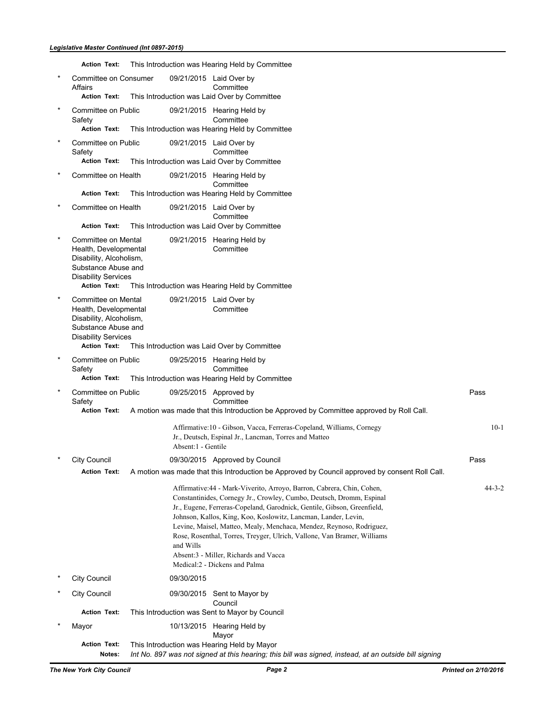|         | <b>Action Text:</b>                                                                                                                                 |                     | This Introduction was Hearing Held by Committee                                                                                                                                                                                                                                                                                                                                                                                                                                                                          |              |
|---------|-----------------------------------------------------------------------------------------------------------------------------------------------------|---------------------|--------------------------------------------------------------------------------------------------------------------------------------------------------------------------------------------------------------------------------------------------------------------------------------------------------------------------------------------------------------------------------------------------------------------------------------------------------------------------------------------------------------------------|--------------|
|         | Committee on Consumer<br>Affairs<br><b>Action Text:</b>                                                                                             |                     | 09/21/2015 Laid Over by<br>Committee<br>This Introduction was Laid Over by Committee                                                                                                                                                                                                                                                                                                                                                                                                                                     |              |
| $\star$ | Committee on Public<br>Safety<br><b>Action Text:</b>                                                                                                |                     | 09/21/2015 Hearing Held by<br>Committee<br>This Introduction was Hearing Held by Committee                                                                                                                                                                                                                                                                                                                                                                                                                               |              |
|         | Committee on Public<br>Safety<br><b>Action Text:</b>                                                                                                |                     | 09/21/2015 Laid Over by<br>Committee<br>This Introduction was Laid Over by Committee                                                                                                                                                                                                                                                                                                                                                                                                                                     |              |
|         | Committee on Health                                                                                                                                 |                     | 09/21/2015 Hearing Held by<br>Committee                                                                                                                                                                                                                                                                                                                                                                                                                                                                                  |              |
|         | <b>Action Text:</b><br>Committee on Health                                                                                                          |                     | This Introduction was Hearing Held by Committee<br>09/21/2015 Laid Over by<br>Committee                                                                                                                                                                                                                                                                                                                                                                                                                                  |              |
|         | <b>Action Text:</b>                                                                                                                                 |                     | This Introduction was Laid Over by Committee                                                                                                                                                                                                                                                                                                                                                                                                                                                                             |              |
|         | Committee on Mental<br>Health, Developmental<br>Disability, Alcoholism,<br>Substance Abuse and<br><b>Disability Services</b><br><b>Action Text:</b> |                     | 09/21/2015 Hearing Held by<br>Committee<br>This Introduction was Hearing Held by Committee                                                                                                                                                                                                                                                                                                                                                                                                                               |              |
| $^\ast$ | Committee on Mental<br>Health, Developmental<br>Disability, Alcoholism,<br>Substance Abuse and<br><b>Disability Services</b><br><b>Action Text:</b> |                     | 09/21/2015 Laid Over by<br>Committee<br>This Introduction was Laid Over by Committee                                                                                                                                                                                                                                                                                                                                                                                                                                     |              |
|         | Committee on Public<br>Safety                                                                                                                       |                     | 09/25/2015 Hearing Held by<br>Committee                                                                                                                                                                                                                                                                                                                                                                                                                                                                                  |              |
|         | <b>Action Text:</b>                                                                                                                                 |                     | This Introduction was Hearing Held by Committee                                                                                                                                                                                                                                                                                                                                                                                                                                                                          |              |
| $\ast$  | Committee on Public<br>Safety<br><b>Action Text:</b>                                                                                                |                     | 09/25/2015 Approved by<br>Committee<br>A motion was made that this Introduction be Approved by Committee approved by Roll Call.                                                                                                                                                                                                                                                                                                                                                                                          | Pass         |
|         |                                                                                                                                                     | Absent: 1 - Gentile | Affirmative:10 - Gibson, Vacca, Ferreras-Copeland, Williams, Cornegy<br>Jr., Deutsch, Espinal Jr., Lancman, Torres and Matteo                                                                                                                                                                                                                                                                                                                                                                                            | $10-1$       |
|         | City Council                                                                                                                                        |                     | 09/30/2015 Approved by Council                                                                                                                                                                                                                                                                                                                                                                                                                                                                                           | Pass         |
|         | <b>Action Text:</b>                                                                                                                                 |                     | A motion was made that this Introduction be Approved by Council approved by consent Roll Call.                                                                                                                                                                                                                                                                                                                                                                                                                           |              |
|         |                                                                                                                                                     | and Wills           | Affirmative: 44 - Mark-Viverito, Arroyo, Barron, Cabrera, Chin, Cohen,<br>Constantinides, Cornegy Jr., Crowley, Cumbo, Deutsch, Dromm, Espinal<br>Jr., Eugene, Ferreras-Copeland, Garodnick, Gentile, Gibson, Greenfield,<br>Johnson, Kallos, King, Koo, Koslowitz, Lancman, Lander, Levin,<br>Levine, Maisel, Matteo, Mealy, Menchaca, Mendez, Reynoso, Rodriguez,<br>Rose, Rosenthal, Torres, Treyger, Ulrich, Vallone, Van Bramer, Williams<br>Absent:3 - Miller, Richards and Vacca<br>Medical:2 - Dickens and Palma | $44 - 3 - 2$ |
|         | <b>City Council</b>                                                                                                                                 | 09/30/2015          |                                                                                                                                                                                                                                                                                                                                                                                                                                                                                                                          |              |
|         | City Council                                                                                                                                        |                     | 09/30/2015 Sent to Mayor by<br>Council                                                                                                                                                                                                                                                                                                                                                                                                                                                                                   |              |
|         | <b>Action Text:</b>                                                                                                                                 |                     | This Introduction was Sent to Mayor by Council                                                                                                                                                                                                                                                                                                                                                                                                                                                                           |              |
|         | Mayor                                                                                                                                               |                     | 10/13/2015 Hearing Held by<br>Mayor                                                                                                                                                                                                                                                                                                                                                                                                                                                                                      |              |
|         | <b>Action Text:</b><br>Notes:                                                                                                                       |                     | This Introduction was Hearing Held by Mayor<br>Int No. 897 was not signed at this hearing; this bill was signed, instead, at an outside bill signing                                                                                                                                                                                                                                                                                                                                                                     |              |